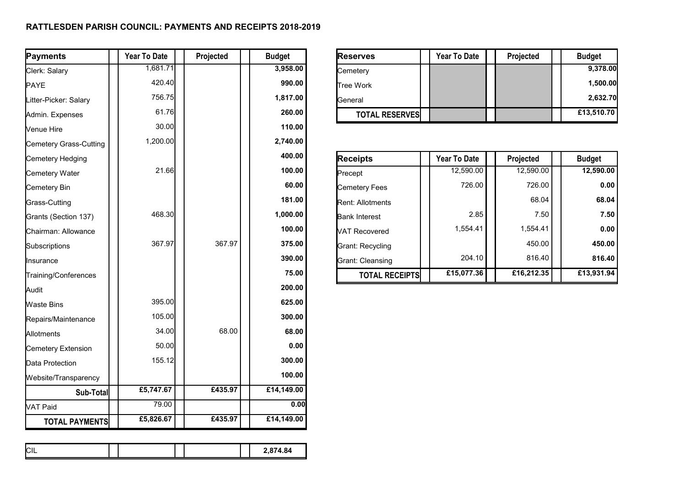## **RATTLESDEN PARISH COUNCIL: PAYMENTS AND RECEIPTS 2018-2019**

| Payments               | <b>Year To Date</b> | Projected | <b>Budget</b> | <b>Reserves</b>       | <b>Year To Date</b> | Projected  | <b>Budget</b> |
|------------------------|---------------------|-----------|---------------|-----------------------|---------------------|------------|---------------|
| Clerk: Salary          | 1,681.71            |           | 3,958.00      | Cemetery              |                     |            | 9,378.00      |
| PAYE                   | 420.40              |           | 990.00        | Tree Work             |                     |            | 1,500.00      |
| Litter-Picker: Salary  | 756.75              |           | 1,817.00      | General               |                     |            | 2,632.70      |
| Admin. Expenses        | 61.76               |           | 260.00        | <b>TOTAL RESERVES</b> |                     |            | £13,510.70    |
| Venue Hire             | 30.00               |           | 110.00        |                       |                     |            |               |
| Cemetery Grass-Cutting | 1,200.00            |           | 2,740.00      |                       |                     |            |               |
| Cemetery Hedging       |                     |           | 400.00        | <b>Receipts</b>       | Year To Date        | Projected  | <b>Budget</b> |
| Cemetery Water         | 21.66               |           | 100.00        | Precept               | 12,590.00           | 12,590.00  | 12,590.00     |
| Cemetery Bin           |                     |           | 60.00         | Cemetery Fees         | 726.00              | 726.00     | 0.00          |
| Grass-Cutting          |                     |           | 181.00        | Rent: Allotments      |                     | 68.04      | 68.04         |
| Grants (Section 137)   | 468.30              |           | 1,000.00      | <b>Bank Interest</b>  | 2.85                | 7.50       | 7.50          |
| Chairman: Allowance    |                     |           | 100.00        | VAT Recovered         | 1,554.41            | 1,554.41   | 0.00          |
| Subscriptions          | 367.97              | 367.97    | 375.00        | Grant: Recycling      |                     | 450.00     | 450.00        |
| Insurance              |                     |           | 390.00        | Grant: Cleansing      | 204.10              | 816.40     | 816.40        |
| Training/Conferences   |                     |           | 75.00         | <b>TOTAL RECEIPTS</b> | £15,077.36          | £16,212.35 | £13,931.94    |
| Audit                  |                     |           | 200.00        |                       |                     |            |               |
| <b>Waste Bins</b>      | 395.00              |           | 625.00        |                       |                     |            |               |
| Repairs/Maintenance    | 105.00              |           | 300.00        |                       |                     |            |               |
| Allotments             | 34.00               | 68.00     | 68.00         |                       |                     |            |               |
| Cemetery Extension     | 50.00               |           | 0.00          |                       |                     |            |               |
| Data Protection        | 155.12              |           | 300.00        |                       |                     |            |               |
| Website/Transparency   |                     |           | 100.00        |                       |                     |            |               |
| Sub-Total              | £5,747.67           | £435.97   | £14,149.00    |                       |                     |            |               |
| VAT Paid               | 79.00               |           | 0.00          |                       |                     |            |               |
| <b>TOTAL PAYMENTS</b>  | £5,826.67           | £435.97   | £14,149.00    |                       |                     |            |               |

|  | $\sim$<br>◡⊩ |  |  |  |  |  | 2,874.84 |
|--|--------------|--|--|--|--|--|----------|
|--|--------------|--|--|--|--|--|----------|

| <b>Reserves</b>       | <b>Year To Date</b> | Projected | <b>Budget</b> |
|-----------------------|---------------------|-----------|---------------|
| Cemetery              |                     |           | 9,378.00      |
| <b>Tree Work</b>      |                     |           | 1,500.00      |
| <b>IGeneral</b>       |                     |           | 2,632.70      |
| <b>TOTAL RESERVES</b> |                     |           | £13,510.70    |

| Receipts                 | <b>Year To Date</b> | Projected  | <b>Budget</b> |
|--------------------------|---------------------|------------|---------------|
| <b>Precept</b>           | 12,590.00           | 12,590.00  | 12,590.00     |
| Cemetery Fees            | 726.00              | 726.00     | 0.00          |
| <b>IRent: Allotments</b> |                     | 68.04      | 68.04         |
| <b>Bank Interest</b>     | 2.85                | 7.50       | 7.50          |
| VAT Recovered            | 1.554.41            | 1,554.41   | 0.00          |
| Grant: Recycling         |                     | 450.00     | 450.00        |
| Grant: Cleansing         | 204.10              | 816.40     | 816.40        |
| <b>TOTAL RECEIPTS</b>    | £15,077.36          | £16,212.35 | £13,931.94    |